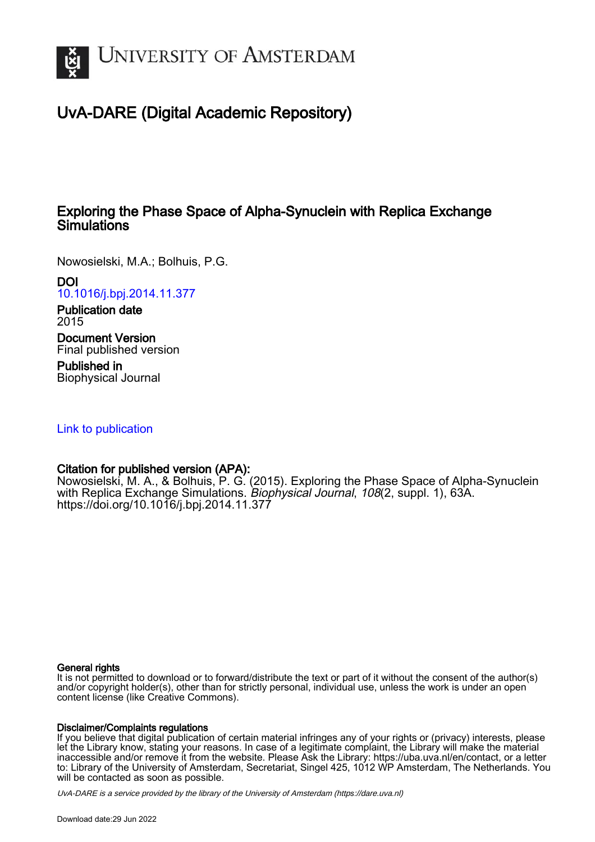

# UvA-DARE (Digital Academic Repository)

# Exploring the Phase Space of Alpha-Synuclein with Replica Exchange **Simulations**

Nowosielski, M.A.; Bolhuis, P.G.

DOI

[10.1016/j.bpj.2014.11.377](https://doi.org/10.1016/j.bpj.2014.11.377)

Publication date 2015

Document Version Final published version

Published in Biophysical Journal

[Link to publication](https://dare.uva.nl/personal/pure/en/publications/exploring-the-phase-space-of-alphasynuclein-with-replica-exchange-simulations(c175bc20-114f-4a4f-91f8-26605132a4a1).html)

# Citation for published version (APA):

Nowosielski, M. A., & Bolhuis, P. G. (2015). Exploring the Phase Space of Alpha-Synuclein with Replica Exchange Simulations. Biophysical Journal, 108(2, suppl. 1), 63A. <https://doi.org/10.1016/j.bpj.2014.11.377>

# General rights

It is not permitted to download or to forward/distribute the text or part of it without the consent of the author(s) and/or copyright holder(s), other than for strictly personal, individual use, unless the work is under an open content license (like Creative Commons).

# Disclaimer/Complaints regulations

If you believe that digital publication of certain material infringes any of your rights or (privacy) interests, please let the Library know, stating your reasons. In case of a legitimate complaint, the Library will make the material inaccessible and/or remove it from the website. Please Ask the Library: https://uba.uva.nl/en/contact, or a letter to: Library of the University of Amsterdam, Secretariat, Singel 425, 1012 WP Amsterdam, The Netherlands. You will be contacted as soon as possible.

UvA-DARE is a service provided by the library of the University of Amsterdam (http*s*://dare.uva.nl)